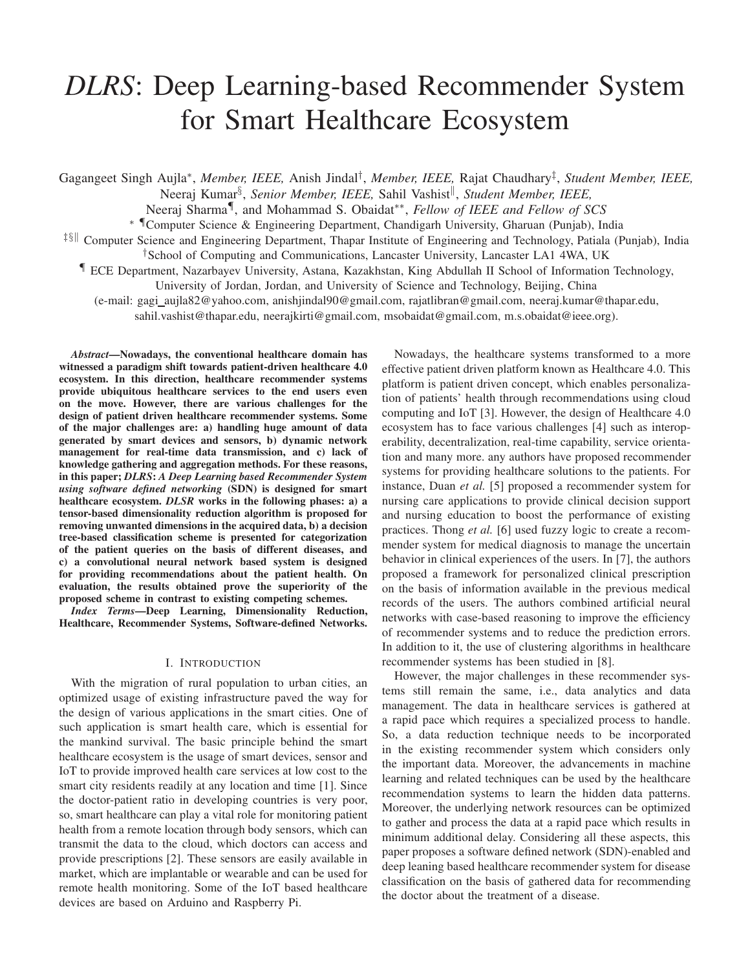# *DLRS*: Deep Learning-based Recommender System for Smart Healthcare Ecosystem

Gagangeet Singh Aujla<sup>∗</sup> , *Member, IEEE,* Anish Jindal† , *Member, IEEE,* Rajat Chaudhary‡ , *Student Member, IEEE,*

 $\Delta$ Neeraj Kumar<sup>§</sup>, *Senior Member, IEEE*, Sahil Vashist<sup>||</sup>, *Student Member, IEEE*,

Neeraj Sharma¶ , and Mohammad S. Obaidat∗∗ , *Fellow of IEEE and Fellow of SCS*

∗ ¶Computer Science & Engineering Department, Chandigarh University, Gharuan (Punjab), India

<sup>‡§|</sup> Computer Science and Engineering Department, Thapar Institute of Engineering and Technology, Patiala (Punjab), India

†School of Computing and Communications, Lancaster University, Lancaster LA1 4WA, UK

¶ ECE Department, Nazarbayev University, Astana, Kazakhstan, King Abdullah II School of Information Technology,

University of Jordan, Jordan, and University of Science and Technology, Beijing, China

(e-mail: gagi aujla82@yahoo.com, anishjindal90@gmail.com, rajatlibran@gmail.com, neeraj.kumar@thapar.edu,

sahil.vashist@thapar.edu, neerajkirti@gmail.com, msobaidat@gmail.com, m.s.obaidat@ieee.org).

*Abstract***—Nowadays, the conventional healthcare domain has witnessed a paradigm shift towards patient-driven healthcare 4.0 ecosystem. In this direction, healthcare recommender systems provide ubiquitous healthcare services to the end users even on the move. However, there are various challenges for the design of patient driven healthcare recommender systems. Some of the major challenges are: a) handling huge amount of data generated by smart devices and sensors, b) dynamic network management for real-time data transmission, and c) lack of knowledge gathering and aggregation methods. For these reasons, in this paper;** *DLRS***:** *A Deep Learning based Recommender System using software defined networking* **(SDN) is designed for smart healthcare ecosystem.** *DLSR* **works in the following phases: a) a tensor-based dimensionality reduction algorithm is proposed for removing unwanted dimensions in the acquired data, b) a decision tree-based classification scheme is presented for categorization of the patient queries on the basis of different diseases, and c) a convolutional neural network based system is designed for providing recommendations about the patient health. On evaluation, the results obtained prove the superiority of the proposed scheme in contrast to existing competing schemes.**

*Index Terms***—Deep Learning, Dimensionality Reduction, Healthcare, Recommender Systems, Software-defined Networks.**

## I. INTRODUCTION

With the migration of rural population to urban cities, an optimized usage of existing infrastructure paved the way for the design of various applications in the smart cities. One of such application is smart health care, which is essential for the mankind survival. The basic principle behind the smart healthcare ecosystem is the usage of smart devices, sensor and IoT to provide improved health care services at low cost to the smart city residents readily at any location and time [1]. Since the doctor-patient ratio in developing countries is very poor, so, smart healthcare can play a vital role for monitoring patient health from a remote location through body sensors, which can transmit the data to the cloud, which doctors can access and provide prescriptions [2]. These sensors are easily available in market, which are implantable or wearable and can be used for remote health monitoring. Some of the IoT based healthcare devices are based on Arduino and Raspberry Pi.

Nowadays, the healthcare systems transformed to a more effective patient driven platform known as Healthcare 4.0. This platform is patient driven concept, which enables personalization of patients' health through recommendations using cloud computing and IoT [3]. However, the design of Healthcare 4.0 ecosystem has to face various challenges [4] such as interoperability, decentralization, real-time capability, service orientation and many more. any authors have proposed recommender systems for providing healthcare solutions to the patients. For instance, Duan *et al.* [5] proposed a recommender system for nursing care applications to provide clinical decision support and nursing education to boost the performance of existing practices. Thong *et al.* [6] used fuzzy logic to create a recommender system for medical diagnosis to manage the uncertain behavior in clinical experiences of the users. In [7], the authors proposed a framework for personalized clinical prescription on the basis of information available in the previous medical records of the users. The authors combined artificial neural networks with case-based reasoning to improve the efficiency of recommender systems and to reduce the prediction errors. In addition to it, the use of clustering algorithms in healthcare recommender systems has been studied in [8].

However, the major challenges in these recommender systems still remain the same, i.e., data analytics and data management. The data in healthcare services is gathered at a rapid pace which requires a specialized process to handle. So, a data reduction technique needs to be incorporated in the existing recommender system which considers only the important data. Moreover, the advancements in machine learning and related techniques can be used by the healthcare recommendation systems to learn the hidden data patterns. Moreover, the underlying network resources can be optimized to gather and process the data at a rapid pace which results in minimum additional delay. Considering all these aspects, this paper proposes a software defined network (SDN)-enabled and deep leaning based healthcare recommender system for disease classification on the basis of gathered data for recommending the doctor about the treatment of a disease.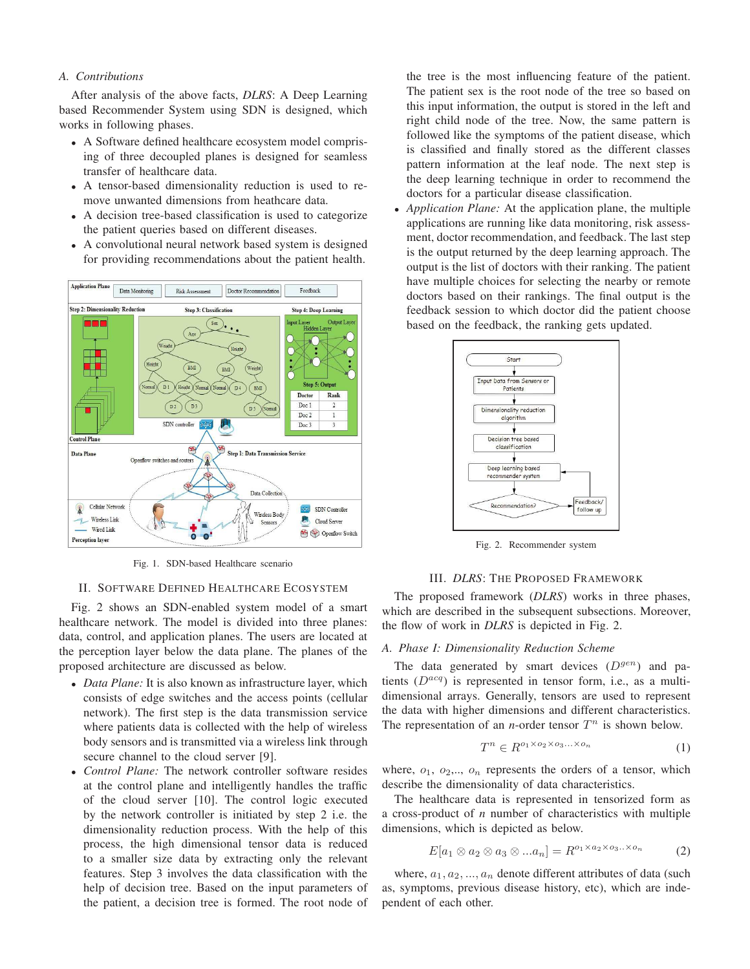#### *A. Contributions*

After analysis of the above facts, *DLRS*: A Deep Learning based Recommender System using SDN is designed, which works in following phases.

- A Software defined healthcare ecosystem model comprising of three decoupled planes is designed for seamless transfer of healthcare data.
- A tensor-based dimensionality reduction is used to remove unwanted dimensions from heathcare data.
- A decision tree-based classification is used to categorize the patient queries based on different diseases.
- A convolutional neural network based system is designed for providing recommendations about the patient health.



Fig. 1. SDN-based Healthcare scenario

#### II. SOFTWARE DEFINED HEALTHCARE ECOSYSTEM

Fig. 2 shows an SDN-enabled system model of a smart healthcare network. The model is divided into three planes: data, control, and application planes. The users are located at the perception layer below the data plane. The planes of the proposed architecture are discussed as below.

- *Data Plane:* It is also known as infrastructure layer, which consists of edge switches and the access points (cellular network). The first step is the data transmission service where patients data is collected with the help of wireless body sensors and is transmitted via a wireless link through secure channel to the cloud server [9].
- *Control Plane:* The network controller software resides at the control plane and intelligently handles the traffic of the cloud server [10]. The control logic executed by the network controller is initiated by step 2 i.e. the dimensionality reduction process. With the help of this process, the high dimensional tensor data is reduced to a smaller size data by extracting only the relevant features. Step 3 involves the data classification with the help of decision tree. Based on the input parameters of the patient, a decision tree is formed. The root node of

the tree is the most influencing feature of the patient. The patient sex is the root node of the tree so based on this input information, the output is stored in the left and right child node of the tree. Now, the same pattern is followed like the symptoms of the patient disease, which is classified and finally stored as the different classes pattern information at the leaf node. The next step is the deep learning technique in order to recommend the doctors for a particular disease classification.

• *Application Plane:* At the application plane, the multiple applications are running like data monitoring, risk assessment, doctor recommendation, and feedback. The last step is the output returned by the deep learning approach. The output is the list of doctors with their ranking. The patient have multiple choices for selecting the nearby or remote doctors based on their rankings. The final output is the feedback session to which doctor did the patient choose based on the feedback, the ranking gets updated.



Fig. 2. Recommender system

## III. *DLRS*: THE PROPOSED FRAMEWORK

The proposed framework (*DLRS*) works in three phases, which are described in the subsequent subsections. Moreover, the flow of work in *DLRS* is depicted in Fig. 2.

#### *A. Phase I: Dimensionality Reduction Scheme*

The data generated by smart devices  $(D^{gen})$  and patients  $(D^{acq})$  is represented in tensor form, i.e., as a multidimensional arrays. Generally, tensors are used to represent the data with higher dimensions and different characteristics. The representation of an *n*-order tensor  $T^n$  is shown below.

$$
T^n \in R^{o_1 \times o_2 \times o_3 \dots \times o_n} \tag{1}
$$

where,  $o_1$ ,  $o_2$ ,..,  $o_n$  represents the orders of a tensor, which describe the dimensionality of data characteristics.

The healthcare data is represented in tensorized form as a cross-product of *n* number of characteristics with multiple dimensions, which is depicted as below.

$$
E[a_1 \otimes a_2 \otimes a_3 \otimes ... a_n] = R^{o_1 \times a_2 \times o_3 ... \times o_n} \tag{2}
$$

where,  $a_1, a_2, ..., a_n$  denote different attributes of data (such as, symptoms, previous disease history, etc), which are independent of each other.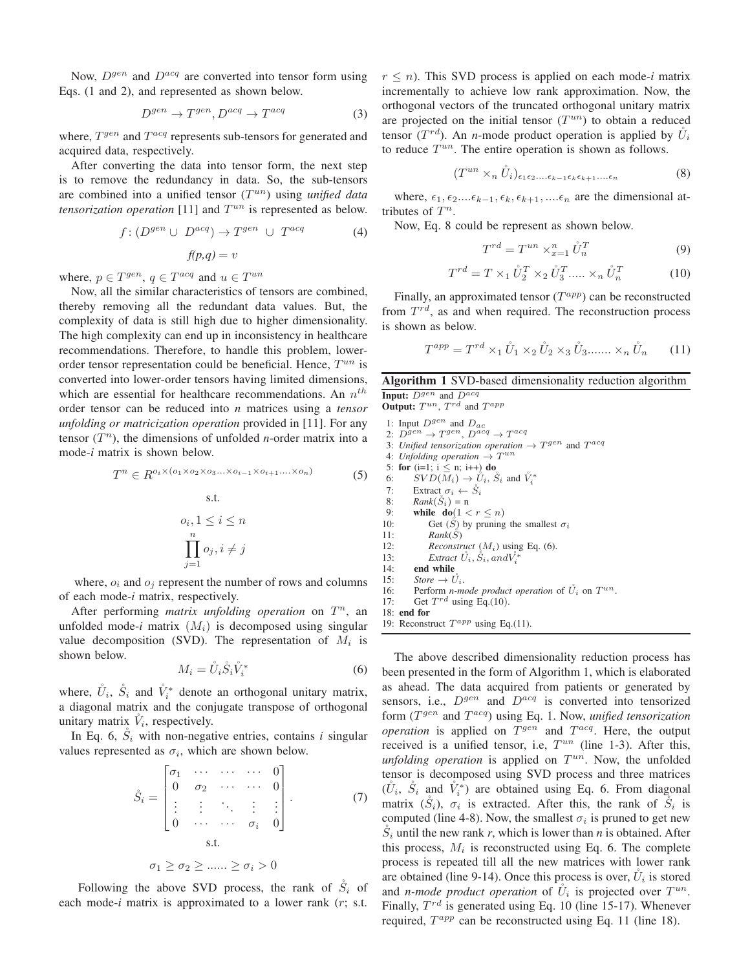Now,  $D^{gen}$  and  $D^{acq}$  are converted into tensor form using Eqs. (1 and 2), and represented as shown below.

$$
D^{gen} \to T^{gen}, D^{acq} \to T^{acq} \tag{3}
$$

where,  $T<sup>gen</sup>$  and  $T<sup>acq</sup>$  represents sub-tensors for generated and acquired data, respectively.

After converting the data into tensor form, the next step is to remove the redundancy in data. So, the sub-tensors are combined into a unified tensor (T<sup>un</sup>) using *unified data tensorization operation* [11] and  $T^{un}$  is represented as below.

$$
f: (D^{gen} \cup D^{acq}) \to T^{gen} \cup T^{acq}
$$

$$
f(p,q) = v
$$
 (4)

where,  $p \in T^{gen}$ ,  $q \in T^{acq}$  and  $u \in T^{un}$ 

Now, all the similar characteristics of tensors are combined, thereby removing all the redundant data values. But, the complexity of data is still high due to higher dimensionality. The high complexity can end up in inconsistency in healthcare recommendations. Therefore, to handle this problem, lowerorder tensor representation could be beneficial. Hence,  $T^{un}$  is converted into lower-order tensors having limited dimensions, which are essential for healthcare recommendations. An  $n^{th}$ order tensor can be reduced into *n* matrices using a *tensor unfolding or matricization operation* provided in [11]. For any tensor  $(T^n)$ , the dimensions of unfolded *n*-order matrix into a mode-*i* matrix is shown below.

$$
T^n \in R^{o_i \times (o_1 \times o_2 \times o_3 \dots \times o_{i-1} \times o_{i+1} \dots \times o_n)}
$$
(5)

s.t.

$$
o_i, 1 \le i \le n
$$

$$
\prod_{j=1}^n o_j, i \ne j
$$

where,  $o_i$  and  $o_j$  represent the number of rows and columns of each mode-*i* matrix, respectively.

After performing *matrix unfolding operation* on  $T^n$ , an unfolded mode-*i* matrix  $(M_i)$  is decomposed using singular value decomposition (SVD). The representation of  $M_i$  is shown below.

$$
M_i = \mathring{U}_i \mathring{S}_i \mathring{V}_i^* \tag{6}
$$

where,  $\mathring{U}_i$ ,  $\mathring{S}_i$  and  $\mathring{V}_i^*$  denote an orthogonal unitary matrix, a diagonal matrix and the conjugate transpose of orthogonal unitary matrix  $\mathring{V}_i$ , respectively.

In Eq. 6,  $S_i$  with non-negative entries, contains *i* singular values represented as  $\sigma_i$ , which are shown below.

$$
\hat{S}_i = \begin{bmatrix}\n\sigma_1 & \cdots & \cdots & \cdots & 0 \\
0 & \sigma_2 & \cdots & \cdots & 0 \\
\vdots & \vdots & \ddots & \vdots & \vdots \\
0 & \cdots & \cdots & \sigma_i & 0\n\end{bmatrix}.
$$
\n(7)\n  
\ns.t.\n
$$
\sigma_1 \ge \sigma_2 \ge \dots \ge \sigma_i > 0
$$

Following the above SVD process, the rank of  $\ddot{S}_i$  of each mode-*i* matrix is approximated to a lower rank (r; s.t.

 $r \leq n$ ). This SVD process is applied on each mode-*i* matrix incrementally to achieve low rank approximation. Now, the orthogonal vectors of the truncated orthogonal unitary matrix are projected on the initial tensor  $(T^{un})$  to obtain a reduced tensor  $(T^{rd})$ . An *n*-mode product operation is applied by  $\mathring{U}_i$ to reduce  $T^{un}$ . The entire operation is shown as follows.

$$
(T^{un} \times_n \mathring{U}_i)_{\epsilon_1 \epsilon_2 \ldots \epsilon_{k-1} \epsilon_k \epsilon_{k+1} \ldots \epsilon_n} \tag{8}
$$

where,  $\epsilon_1, \epsilon_2, \ldots, \epsilon_{k-1}, \epsilon_k, \epsilon_{k+1}, \ldots, \epsilon_n$  are the dimensional attributes of  $T^n$ .

Now, Eq. 8 could be represent as shown below.

$$
T^{rd} = T^{un} \times_{x=1}^{n} \mathring{U}_n^T
$$
 (9)

$$
T^{rd} = T \times_1 \mathring{U}_2^T \times_2 \mathring{U}_3^T \dots \times_n \mathring{U}_n^T
$$
 (10)

Finally, an approximated tensor  $(T^{app})$  can be reconstructed from  $T^{rd}$ , as and when required. The reconstruction process is shown as below.

$$
T^{app} = T^{rd} \times_1 \mathring{U}_1 \times_2 \mathring{U}_2 \times_3 \mathring{U}_3 \dots \times_n \mathring{U}_n \tag{11}
$$

**Algorithm 1** SVD-based dimensionality reduction algorithm **Input:**  $D^{gen}$  and  $D^{acq}$ 

**Output:**  $T^{un}$ ,  $T^{rd}$  and  $T^{app}$ 

1: Input  $D^{gen}$  and  $D_{ac}$ 2:  $\tilde{D^{gen}} \rightarrow T^{gen}$ ,  $D^{acq} \rightarrow T^{acq}$ 3: Unified tensorization operation  $\rightarrow T^{gen}$  and  $T^{acq}$ 4: Unfolding operation  $\rightarrow T^{un}$ 5: **for** (i=1;  $i \le n$ ; i++) **do** 6:  $SVD(\overline{M}_i) \rightarrow \overset{\circ}{U}_i$ ,  $\overset{\circ}{S}_i$  and  $\overset{\circ}{V}_i^*$ 7: Extract  $\sigma_i \leftarrow \tilde{S}_i$ <br>8:  $Rank(\tilde{S}_i) = n$ 8:  $Rank(\ddot{S}_i) = n$ <br>9: **while do**(1 < while  $\text{do}(1 < r \leq n)$ 10: Get  $(S)$  by pruning the smallest  $\sigma_i$ <br>11:  $Rank(S)$ 11:  $Rank(\tilde{S})$ <br>12:  $Reconstr$ *Reconstruct*  $(M_i)$  using Eq. (6). 13: *Extract*  $\mathring{U}_i$ ,  $\mathring{\tilde{S}}_i$ , and  $\mathring{V}_i^*$ 14: **end while**<br>15: *Store*  $\rightarrow$  *L* 15: *Store*  $\rightarrow U_i$ .<br>16: **Perform** *n*-*m* 16: Perform *n-mode product operation* of  $\mathring{U}_i$  on  $T^{un}$ . 17: Get  $T^{rd}$  using Eq.(10). 18: **end for**

19: Reconstruct  $T^{app}$  using Eq.(11).

The above described dimensionality reduction process has been presented in the form of Algorithm 1, which is elaborated as ahead. The data acquired from patients or generated by sensors, i.e.,  $D^{gen}$  and  $D^{acq}$  is converted into tensorized form ( $T^{gen}$  and  $T^{acq}$ ) using Eq. 1. Now, *unified tensorization operation* is applied on  $T^{gen}$  and  $T^{acq}$ . Here, the output received is a unified tensor, i.e,  $T^{un}$  (line 1-3). After this, unfolding operation is applied on  $T^{un}$ . Now, the unfolded tensor is decomposed using SVD process and three matrices  $(\tilde{U}_i, \ \tilde{S}_i \ \text{and} \ \tilde{V}_i^*)$  are obtained using Eq. 6. From diagonal matrix  $(\dot{S}_i)$ ,  $\sigma_i$  is extracted. After this, the rank of  $\dot{S}_i$  is computed (line 4-8). Now, the smallest  $\sigma_i$  is pruned to get new  $\check{S}_i$  until the new rank *r*, which is lower than *n* is obtained. After this process,  $M_i$  is reconstructed using Eq. 6. The complete process is repeated till all the new matrices with lower rank are obtained (line 9-14). Once this process is over,  $\mathring{U}_i$  is stored and *n-mode product operation* of  $\hat{U}_i$  is projected over  $T^{un}$ . Finally,  $T^{rd}$  is generated using Eq. 10 (line 15-17). Whenever required,  $T^{app}$  can be reconstructed using Eq. 11 (line 18).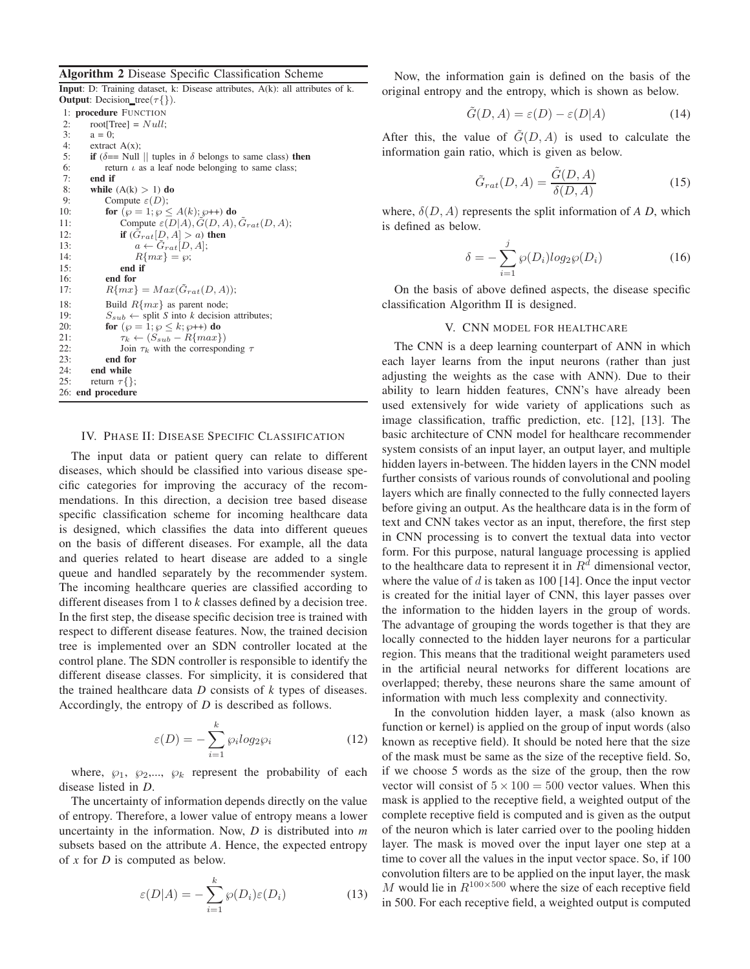#### **Algorithm 2** Disease Specific Classification Scheme

**Input**: D: Training dataset, k: Disease attributes, A(k): all attributes of k. **Output**: Decision\_tree( $\tau$ {}). 1: **procedure** FUNCTION 2:  $root[Tree] = Null;$ <br>3:  $a = 0;$ 3:  $a = 0$ ;<br>4: extract extract  $A(x)$ ; 5: **if**  $(\delta == \text{Null} ||$  tuples in  $\delta$  belongs to same class) **then**<br>6: **return** *t* as a leaf node belonging to same class: return  $\iota$  as a leaf node belonging to same class; 7: **end if** 8: **while**  $(A(k) > 1)$  **do**<br>9: Compute  $\varepsilon(D)$ : Compute  $\varepsilon(D)$ ; 10: **for**  $(\wp = 1; \wp \leq A(k); \wp \mapsto)$  **do** 11: Compute  $\varepsilon(D|A), \tilde{G}(D, A), \tilde{G}_{rat}(D, A);$ 12: **if**  $(\tilde{G}_{rat}[D, A] > a)$  **then** 13:  $a \leftarrow \ddot{G}_{rat}[D, A];$ 14:  $R\{mx\} = \wp;$ <br>15: **end if** end if 16: **end for** 17:  $R\{mx\} = Max(\tilde{G}_{rat}(D, A));$ 18: Build  $R{mx}$  as parent node; 19:  $S_{sub}$  ← split *S* into *k* decision attributes;<br>20: **for**  $(\varphi = 1; \varphi \le k; \varphi++)$  **do** for  $(\wp = 1; \wp \leq k; \wp +)$  do 21:  $\tau_k \leftarrow (S_{sub} - R\{max\})$ <br>22: Join  $\tau_k$  with the correspon 22: Join  $\tau_k$  with the corresponding  $\tau$ <br>23: **end for** end for 24: **end while**<br>25: **return**  $\tau$ <sup>{</sup>} return  $\tau\}$ ; 26: **end procedure**

## IV. PHASE II: DISEASE SPECIFIC CLASSIFICATION

The input data or patient query can relate to different diseases, which should be classified into various disease specific categories for improving the accuracy of the recommendations. In this direction, a decision tree based disease specific classification scheme for incoming healthcare data is designed, which classifies the data into different queues on the basis of different diseases. For example, all the data and queries related to heart disease are added to a single queue and handled separately by the recommender system. The incoming healthcare queries are classified according to different diseases from 1 to *k* classes defined by a decision tree. In the first step, the disease specific decision tree is trained with respect to different disease features. Now, the trained decision tree is implemented over an SDN controller located at the control plane. The SDN controller is responsible to identify the different disease classes. For simplicity, it is considered that the trained healthcare data *D* consists of *k* types of diseases. Accordingly, the entropy of *D* is described as follows.

$$
\varepsilon(D) = -\sum_{i=1}^{k} \wp_i \log_2 \wp_i \tag{12}
$$

where,  $\wp_1$ ,  $\wp_2$ ,...,  $\wp_k$  represent the probability of each disease listed in *D*.

The uncertainty of information depends directly on the value of entropy. Therefore, a lower value of entropy means a lower uncertainty in the information. Now, *D* is distributed into *m* subsets based on the attribute *A*. Hence, the expected entropy of *x* for *D* is computed as below.

$$
\varepsilon(D|A) = -\sum_{i=1}^{k} \wp(D_i)\varepsilon(D_i)
$$
 (13)

Now, the information gain is defined on the basis of the original entropy and the entropy, which is shown as below.

$$
\tilde{G}(D,A) = \varepsilon(D) - \varepsilon(D|A) \tag{14}
$$

After this, the value of  $\tilde{G}(D, A)$  is used to calculate the information gain ratio, which is given as below.

$$
\tilde{G}_{rat}(D,A) = \frac{\tilde{G}(D,A)}{\delta(D,A)}\tag{15}
$$

where,  $\delta(D, A)$  represents the split information of A D, which is defined as below.

$$
\delta = -\sum_{i=1}^{j} \wp(D_i) log_2 \wp(D_i)
$$
 (16)

On the basis of above defined aspects, the disease specific classification Algorithm II is designed.

## V. CNN MODEL FOR HEALTHCARE

The CNN is a deep learning counterpart of ANN in which each layer learns from the input neurons (rather than just adjusting the weights as the case with ANN). Due to their ability to learn hidden features, CNN's have already been used extensively for wide variety of applications such as image classification, traffic prediction, etc. [12], [13]. The basic architecture of CNN model for healthcare recommender system consists of an input layer, an output layer, and multiple hidden layers in-between. The hidden layers in the CNN model further consists of various rounds of convolutional and pooling layers which are finally connected to the fully connected layers before giving an output. As the healthcare data is in the form of text and CNN takes vector as an input, therefore, the first step in CNN processing is to convert the textual data into vector form. For this purpose, natural language processing is applied to the healthcare data to represent it in  $R<sup>d</sup>$  dimensional vector, where the value of  $d$  is taken as 100 [14]. Once the input vector is created for the initial layer of CNN, this layer passes over the information to the hidden layers in the group of words. The advantage of grouping the words together is that they are locally connected to the hidden layer neurons for a particular region. This means that the traditional weight parameters used in the artificial neural networks for different locations are overlapped; thereby, these neurons share the same amount of information with much less complexity and connectivity.

In the convolution hidden layer, a mask (also known as function or kernel) is applied on the group of input words (also known as receptive field). It should be noted here that the size of the mask must be same as the size of the receptive field. So, if we choose 5 words as the size of the group, then the row vector will consist of  $5 \times 100 = 500$  vector values. When this mask is applied to the receptive field, a weighted output of the complete receptive field is computed and is given as the output of the neuron which is later carried over to the pooling hidden layer. The mask is moved over the input layer one step at a time to cover all the values in the input vector space. So, if 100 convolution filters are to be applied on the input layer, the mask M would lie in  $R^{100\times500}$  where the size of each receptive field in 500. For each receptive field, a weighted output is computed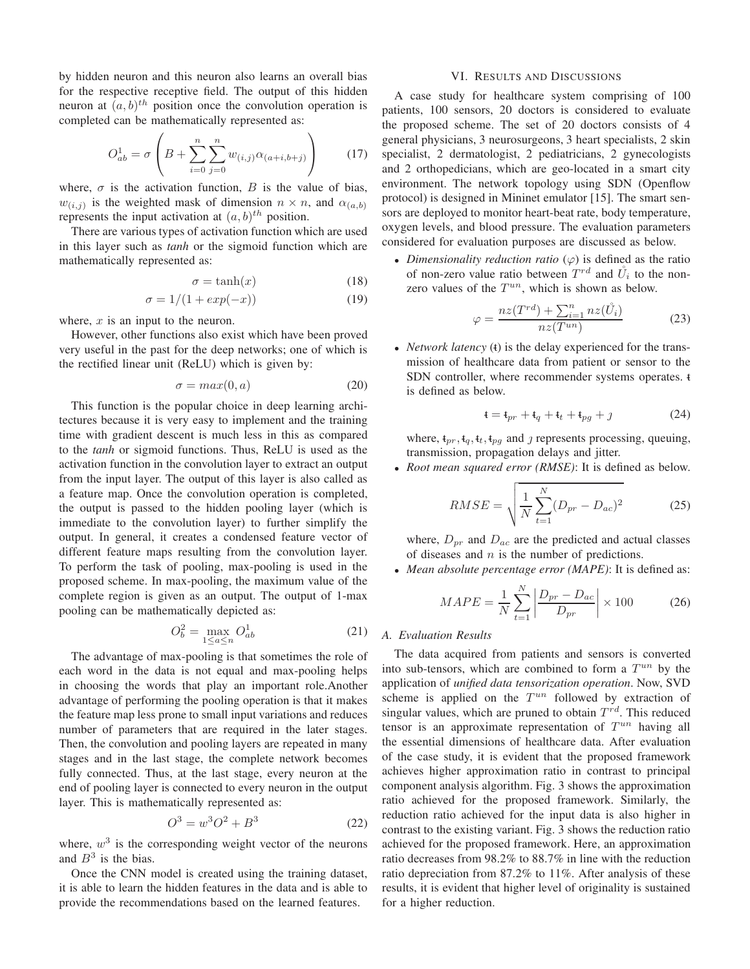by hidden neuron and this neuron also learns an overall bias for the respective receptive field. The output of this hidden neuron at  $(a, b)^{th}$  position once the convolution operation is completed can be mathematically represented as:

$$
O_{ab}^1 = \sigma \left( B + \sum_{i=0}^n \sum_{j=0}^n w_{(i,j)} \alpha_{(a+i,b+j)} \right)
$$
 (17)

where,  $\sigma$  is the activation function, B is the value of bias,  $w_{(i,j)}$  is the weighted mask of dimension  $n \times n$ , and  $\alpha_{(a,b)}$ represents the input activation at  $(a, b)^{th}$  position.

There are various types of activation function which are used in this layer such as *tanh* or the sigmoid function which are mathematically represented as:

$$
\sigma = \tanh(x) \tag{18}
$$

$$
\sigma = 1/(1 + exp(-x))\tag{19}
$$

where,  $x$  is an input to the neuron.

However, other functions also exist which have been proved very useful in the past for the deep networks; one of which is the rectified linear unit (ReLU) which is given by:

$$
\sigma = \max(0, a) \tag{20}
$$

This function is the popular choice in deep learning architectures because it is very easy to implement and the training time with gradient descent is much less in this as compared to the *tanh* or sigmoid functions. Thus, ReLU is used as the activation function in the convolution layer to extract an output from the input layer. The output of this layer is also called as a feature map. Once the convolution operation is completed, the output is passed to the hidden pooling layer (which is immediate to the convolution layer) to further simplify the output. In general, it creates a condensed feature vector of different feature maps resulting from the convolution layer. To perform the task of pooling, max-pooling is used in the proposed scheme. In max-pooling, the maximum value of the complete region is given as an output. The output of 1-max pooling can be mathematically depicted as:

$$
O_b^2 = \max_{1 \le a \le n} O_{ab}^1 \tag{21}
$$

The advantage of max-pooling is that sometimes the role of each word in the data is not equal and max-pooling helps in choosing the words that play an important role.Another advantage of performing the pooling operation is that it makes the feature map less prone to small input variations and reduces number of parameters that are required in the later stages. Then, the convolution and pooling layers are repeated in many stages and in the last stage, the complete network becomes fully connected. Thus, at the last stage, every neuron at the end of pooling layer is connected to every neuron in the output layer. This is mathematically represented as:

$$
O^3 = w^3 O^2 + B^3 \tag{22}
$$

where,  $w^3$  is the corresponding weight vector of the neurons and  $B^3$  is the bias.

Once the CNN model is created using the training dataset, it is able to learn the hidden features in the data and is able to provide the recommendations based on the learned features.

#### VI. RESULTS AND DISCUSSIONS

A case study for healthcare system comprising of 100 patients, 100 sensors, 20 doctors is considered to evaluate the proposed scheme. The set of 20 doctors consists of 4 general physicians, 3 neurosurgeons, 3 heart specialists, 2 skin specialist, 2 dermatologist, 2 pediatricians, 2 gynecologists and 2 orthopedicians, which are geo-located in a smart city environment. The network topology using SDN (Openflow protocol) is designed in Mininet emulator [15]. The smart sensors are deployed to monitor heart-beat rate, body temperature, oxygen levels, and blood pressure. The evaluation parameters considered for evaluation purposes are discussed as below.

• *Dimensionality reduction ratio*  $(\varphi)$  is defined as the ratio of non-zero value ratio between  $T^{rd}$  and  $\mathring{U}_i$  to the nonzero values of the  $T^{un}$ , which is shown as below.

$$
\varphi = \frac{nz(T^{rd}) + \sum_{i=1}^{n} nz(\mathring{U}_i)}{nz(T^{un})}
$$
(23)

• *Network latency* ( $\angle$ ) is the delay experienced for the transmission of healthcare data from patient or sensor to the SDN controller, where recommender systems operates.  $t$ is defined as below.

$$
\mathfrak{t} = \mathfrak{t}_{pr} + \mathfrak{t}_q + \mathfrak{t}_t + \mathfrak{t}_{pg} + \jmath \tag{24}
$$

where,  $\mathfrak{t}_{pr}, \mathfrak{t}_{q}, \mathfrak{t}_{t}, \mathfrak{t}_{pg}$  and  $\jmath$  represents processing, queuing, transmission, propagation delays and jitter.

• *Root mean squared error (RMSE)*: It is defined as below.

$$
RMSE = \sqrt{\frac{1}{N} \sum_{t=1}^{N} (D_{pr} - D_{ac})^2}
$$
 (25)

where,  $D_{pr}$  and  $D_{ac}$  are the predicted and actual classes of diseases and  $n$  is the number of predictions.

• *Mean absolute percentage error (MAPE)*: It is defined as:

$$
MAPE = \frac{1}{N} \sum_{t=1}^{N} \left| \frac{D_{pr} - D_{ac}}{D_{pr}} \right| \times 100 \tag{26}
$$

#### *A. Evaluation Results*

The data acquired from patients and sensors is converted into sub-tensors, which are combined to form a  $T^{un}$  by the application of *unified data tensorization operation*. Now, SVD scheme is applied on the  $T^{un}$  followed by extraction of singular values, which are pruned to obtain  $T^{rd}$ . This reduced tensor is an approximate representation of  $T^{un}$  having all the essential dimensions of healthcare data. After evaluation of the case study, it is evident that the proposed framework achieves higher approximation ratio in contrast to principal component analysis algorithm. Fig. 3 shows the approximation ratio achieved for the proposed framework. Similarly, the reduction ratio achieved for the input data is also higher in contrast to the existing variant. Fig. 3 shows the reduction ratio achieved for the proposed framework. Here, an approximation ratio decreases from 98.2% to 88.7% in line with the reduction ratio depreciation from 87.2% to 11%. After analysis of these results, it is evident that higher level of originality is sustained for a higher reduction.